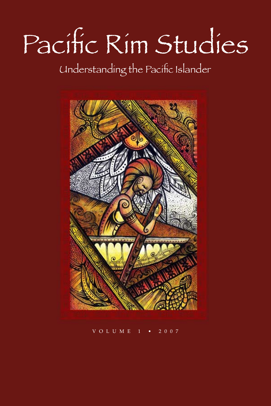# Pacific Rim Studies

# Understanding the Pacific Islander



VOLUME 1 • 2007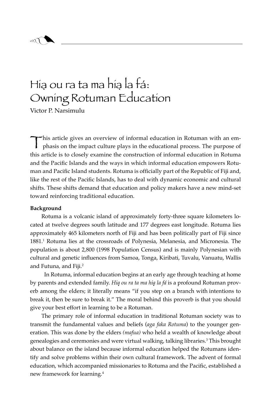

## Hiạ ou ra ta ma hiạ la tá:<br>. Owning Rotuman Education

Victor P. Narsimulu

This article gives an overview of informal education in Rotuman with an emphasis on the impact culture plays in the educational process. The purpose of this article is to closely examine the construction of informal educat phasis on the impact culture plays in the educational process. The purpose of this article is to closely examine the construction of informal education in Rotuma and the Pacific Islands and the ways in which informal education empowers Rotuman and Pacific Island students. Rotuma is officially part of the Republic of Fiji and, like the rest of the Pacific Islands, has to deal with dynamic economic and cultural shifts. These shifts demand that education and policy makers have a new mind-set toward reinforcing traditional education.

## **Background**

Rotuma is a volcanic island of approximately forty-three square kilometers located at twelve degrees south latitude and 177 degrees east longitude. Rotuma lies approximately 465 kilometers north of Fiji and has been politically part of Fiji since 1881.<sup>1</sup> Rotuma lies at the crossroads of Polynesia, Melanesia, and Micronesia. The population is about 2,800 (1998 Population Census) and is mainly Polynesian with cultural and genetic influences from Samoa, Tonga, Kiribati, Tuvalu, Vanuatu, Wallis and Futuna, and Fiji.<sup>2</sup>

In Rotuma, informal education begins at an early age through teaching at home by parents and extended family. *Hia ou ra ta ma hia la fá* is a profound Rotuman prov-**. .**erb among the elders; it literally means "if you step on a branch with intentions to break it, then be sure to break it." The moral behind this proverb is that you should give your best effort in learning to be a Rotuman.

The primary role of informal education in traditional Rotuman society was to transmit the fundamental values and beliefs (*aga faka Rotuma*) to the younger generation. This was done by the elders *(mafua)* who held a wealth of knowledge about genealogies and ceremonies and were virtual walking, talking libraries.<sup>3</sup> This brought about balance on the island because informal education helped the Rotumans identify and solve problems within their own cultural framework. The advent of formal education, which accompanied missionaries to Rotuma and the Pacific, established a new framework for learning.4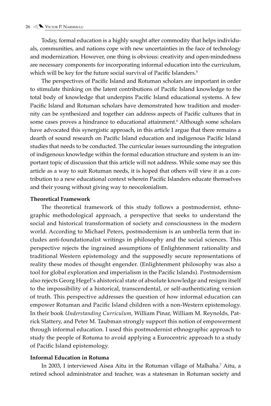Today, formal education is a highly sought after commodity that helps individuals, communities, and nations cope with new uncertainties in the face of technology and modernization. However, one thing is obvious: creativity and open-mindedness are necessary components for incorporating informal education into the curriculum, which will be key for the future social survival of Pacific Islanders.<sup>5</sup>

The perspectives of Pacific Island and Rotuman scholars are important in order to stimulate thinking on the latent contributions of Pacific Island knowledge to the total body of knowledge that underpins Pacific Island educational systems. A few Pacific Island and Rotuman scholars have demonstrated how tradition and modernity can be synthesized and together can address aspects of Pacific cultures that in some cases proves a hindrance to educational attainment.<sup>6</sup> Although some scholars have advocated this synergistic approach, in this article I argue that there remains a dearth of sound research on Pacific Island education and indigenous Pacific Island studies that needs to be conducted. The curricular issues surrounding the integration of indigenous knowledge within the formal education structure and system is an important topic of discussion that this article will not address. While some may see this article as a way to suit Rotuman needs, it is hoped that others will view it as a contribution to a new educational context wherein Pacific Islanders educate themselves and their young without giving way to neocolonialism.

#### **Theoretical Framework**

The theoretical framework of this study follows a postmodernist, ethnographic methodological approach, a perspective that seeks to understand the social and historical transformation of society and consciousness in the modern world. According to Michael Peters, postmodernism is an umbrella term that includes anti-foundationalist writings in philosophy and the social sciences. This perspective rejects the ingrained assumptions of Enlightenment rationality and traditional Western epistemology and the supposedly secure representations of reality these modes of thought engender. (Enlightenment philosophy was also a tool for global exploration and imperialism in the Pacific Islands). Postmodernism also rejects Georg Hegel's ahistorical state of absolute knowledge and resigns itself to the impossibility of a historical, transcendental, or self-authenticating version of truth. This perspective addresses the question of how informal education can empower Rotuman and Pacific Island children with a non-Western epistemology. In their book *Understanding Curriculum*, William Pinar, William M. Reynolds, Patrick Slattery, and Peter M. Taubman strongly support this notion of empowerment through informal education. I used this postmodernist ethnographic approach to study the people of Rotuma to avoid applying a Eurocentric approach to a study of Pacific Island epistemology.

#### **Informal Education in Rotuma**

In 2003, I interviewed Aisea Aitu in the Rotuman village of Malhaha.<sup>7</sup> Aitu, a retired school administrator and teacher, was a statesman in Rotuman society and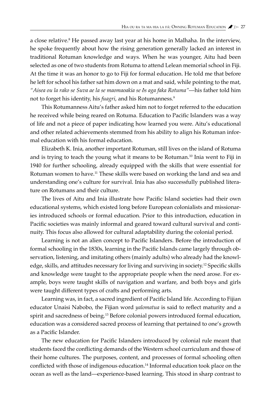a close relative.<sup>8</sup> He passed away last year at his home in Malhaha. In the interview, he spoke frequently about how the rising generation generally lacked an interest in traditional Rotuman knowledge and ways. When he was younger, Aitu had been selected as one of two students from Rotuma to attend Lelean memorial school in Fiji. At the time it was an honor to go to Fiji for formal education. He told me that before he left for school his father sat him down on a mat and said, while pointing to the mat, *"Aisea ou la rako se Suva ae la se maomaoakia se os aga faka Rotuma"*—his father told him **.**not to forget his identity, his *fuagri*, and his Rotumanness.<sup>9</sup>

This Rotumanness Aitu's father asked him not to forget referred to the education he received while being reared on Rotuma. Education to Pacific Islanders was a way of life and not a piece of paper indicating how learned you were. Aitu's educational and other related achievements stemmed from his ability to align his Rotuman informal education with his formal education.

Elizabeth K. Inia, another important Rotuman, still lives on the island of Rotuma and is trying to teach the young what it means to be Rotuman.10 Inia went to Fiji in 1940 for further schooling, already equipped with the skills that were essential for Rotuman women to have.<sup>11</sup> These skills were based on working the land and sea and understanding one's culture for survival. Inia has also successfully published literature on Rotumans and their culture.

The lives of Aitu and Inia illustrate how Pacific Island societies had their own educational systems, which existed long before European colonialists and missionaries introduced schools or formal education. Prior to this introduction, education in Pacific societies was mainly informal and geared toward cultural survival and continuity. This focus also allowed for cultural adaptability during the colonial period.

Learning is not an alien concept to Pacific Islanders. Before the introduction of formal schooling in the 1830s, learning in the Pacific Islands came largely through observation, listening, and imitating others (mainly adults) who already had the knowledge, skills, and attitudes necessary for living and surviving in society.12 Specific skills and knowledge were taught to the appropriate people when the need arose. For example, boys were taught skills of navigation and warfare, and both boys and girls were taught different types of crafts and performing arts.

Learning was, in fact, a sacred ingredient of Pacific Island life. According to Fijian educator Unaisi Nabobo, the Fijian word *yalomatua* is said to reflect maturity and a spirit and sacredness of being.<sup>13</sup> Before colonial powers introduced formal education, education was a considered sacred process of learning that pertained to one's growth as a Pacific Islander.

The new education for Pacific Islanders introduced by colonial rule meant that students faced the conflicting demands of the Western school curriculum and those of their home cultures. The purposes, content, and processes of formal schooling often conflicted with those of indigenous education.<sup>14</sup> Informal education took place on the ocean as well as the land—experience-based learning. This stood in sharp contrast to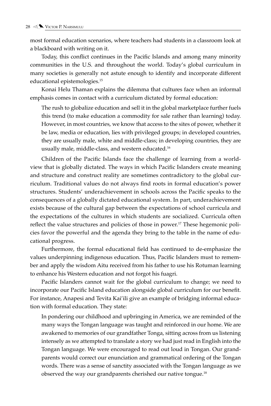most formal education scenarios, where teachers had students in a classroom look at a blackboard with writing on it.

Today, this conflict continues in the Pacific Islands and among many minority communities in the U.S. and throughout the world. Today's global curriculum in many societies is generally not astute enough to identify and incorporate different educational epistemologies.15

Konai Helu Thaman explains the dilemma that cultures face when an informal emphasis comes in contact with a curriculum dictated by formal education:

The rush to globalize education and sell it in the global marketplace further fuels this trend (to make education a commodity for sale rather than learning) today. However, in most countries, we know that access to the sites of power, whether it be law, media or education, lies with privileged groups; in developed countries, they are usually male, white and middle-class; in developing countries, they are usually male, middle-class, and western educated.<sup>16</sup>

Children of the Pacific Islands face the challenge of learning from a worldview that is globally dictated. The ways in which Pacific Islanders create meaning and structure and construct reality are sometimes contradictory to the global curriculum. Traditional values do not always find roots in formal education's power structures. Students' underachievement in schools across the Pacific speaks to the consequences of a globally dictated educational system. In part, underachievement exists because of the cultural gap between the expectations of school curricula and the expectations of the cultures in which students are socialized. Curricula often reflect the value structures and policies of those in power.17 These hegemonic policies favor the powerful and the agenda they bring to the table in the name of educational progress.

Furthermore, the formal educational field has continued to de-emphasize the values underpinning indigenous education. Thus, Pacific Islanders must to remember and apply the wisdom Aitu received from his father to use his Rotuman learning to enhance his Western education and not forgot his fuagri.

Pacific Islanders cannot wait for the global curriculum to change; we need to incorporate our Pacific Island education alongside global curriculum for our benefit. For instance, Anapesi and Tevita Kai'ili give an example of bridging informal education with formal education. They state:

In pondering our childhood and upbringing in America, we are reminded of the many ways the Tongan language was taught and reinforced in our home. We are awakened to memories of our grandfather Tonga, sitting across from us listening intensely as we attempted to translate a story we had just read in English into the Tongan language. We were encouraged to read out loud in Tongan. Our grandparents would correct our enunciation and grammatical ordering of the Tongan words. There was a sense of sanctity associated with the Tongan language as we observed the way our grandparents cherished our native tongue.<sup>18</sup>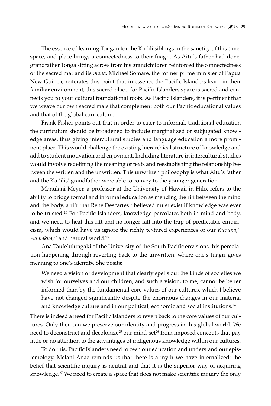The essence of learning Tongan for the Kai'ili siblings in the sanctity of this time, space, and place brings a connectedness to their fuagri. As Aitu's father had done, grandfather Tonga sitting across from his grandchildren reinforced the connectedness of the sacred mat and its *mana*. Michael Somare, the former prime minister of Papua New Guinea, reiterates this point that in essence the Pacific Islanders learn in their familiar environment, this sacred place, for Pacific Islanders space is sacred and connects you to your cultural foundational roots. As Pacific Islanders, it is pertinent that we weave our own sacred mats that complement both our Pacific educational values and that of the global curriculum.

Frank Fisher points out that in order to cater to informal, traditional education the curriculum should be broadened to include marginalized or subjugated knowledge areas, thus giving intercultural studies and language education a more prominent place. This would challenge the existing hierarchical structure of knowledge and add to student motivation and enjoyment. Including literature in intercultural studies would involve redefining the meaning of texts and reestablishing the relationship between the written and the unwritten. This unwritten philosophy is what Aitu's father and the Kai'ilis' grandfather were able to convey to the younger generation.

Manulani Meyer, a professor at the University of Hawaii in Hilo, refers to the ability to bridge formal and informal education as mending the rift between the mind and the body, a rift that Rene Descartes $19$  believed must exist if knowledge was ever to be trusted.20 For Pacific Islanders, knowledge percolates both in mind and body, and we need to heal this rift and no longer fall into the trap of predictable empiricism, which would have us ignore the richly textured experiences of our *Kupuna*, 21 Aumakua,<sup>22</sup> and natural world.<sup>23</sup>

Ana Taufe'ulungaki of the University of the South Pacific envisions this percolation happening through reverting back to the unwritten, where one's fuagri gives meaning to one's identity. She posits:

We need a vision of development that clearly spells out the kinds of societies we wish for ourselves and our children, and such a vision, to me, cannot be better informed than by the fundamental core values of our cultures, which I believe have not changed significantly despite the enormous changes in our material and knowledge culture and in our political, economic and social institutions.<sup>24</sup>

There is indeed a need for Pacific Islanders to revert back to the core values of our cultures. Only then can we preserve our identity and progress in this global world. We need to deconstruct and decolonize<sup>25</sup> our mind-set<sup>26</sup> from imposed concepts that pay little or no attention to the advantages of indigenous knowledge within our cultures.

To do this, Pacific Islanders need to own our education and understand our epistemology. Melani Anae reminds us that there is a myth we have internalized: the belief that scientific inquiry is neutral and that it is the superior way of acquiring knowledge.<sup>27</sup> We need to create a space that does not make scientific inquiry the only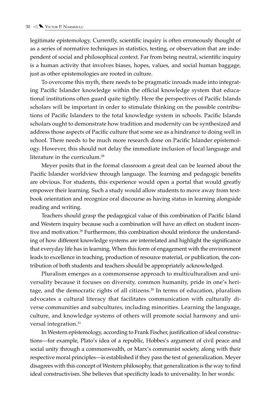legitimate epistemology. Currently, scientific inquiry is often erroneously thought of as a series of normative techniques in statistics, testing, or observation that are independent of social and philosophical context. Far from being neutral, scientific inquiry is a human activity that involves biases, hopes, values, and social human baggage, just as other epistemologies are rooted in culture.

To overcome this myth, there needs to be pragmatic inroads made into integrating Pacific Islander knowledge within the official knowledge system that educational institutions often guard quite tightly. Here the perspectives of Pacific Islands scholars will be important in order to stimulate thinking on the possible contributions of Pacific Islanders to the total knowledge system in schools. Pacific Islands scholars ought to demonstrate how tradition and modernity can be synthesized and address those aspects of Pacific culture that some see as a hindrance to doing well in school. There needs to be much more research done on Pacific Islander epistemology. However, this should not delay the immediate inclusion of local language and literature in the curriculum.<sup>28</sup>

Meyer posits that in the formal classroom a great deal can be learned about the Pacific Islander worldview through language. The learning and pedagogic benefits are obvious. For students, this experience would open a portal that would greatly empower their learning. Such a study would allow students to move away from textbook orientation and recognize oral discourse as having status in learning alongside reading and writing.

Teachers should grasp the pedagogical value of this combination of Pacific Island and Western inquiry because such a combination will have an effect on student incentive and motivation.<sup>29</sup> Furthermore, this combination should reinforce the understanding of how different knowledge systems are interrelated and highlight the significance that everyday life has in learning. When this form of engagement with the environment leads to excellence in teaching, production of resource material, or publication, the contribution of both students and teachers should be appropriately acknowledged.

Pluralism emerges as a commonsense approach to multiculturalism and universality because it focuses on diversity, common humanity, pride in one's heritage, and the democratic rights of all citizens.<sup>30</sup> In terms of education, pluralism advocates a cultural literacy that facilitates communication with culturally diverse communities and subcultures, including minorities. Learning the language, culture, and knowledge systems of others will promote social harmony and universal integration.31

In Western epistemology, according to Frank Fischer, justification of ideal constructions—for example, Plato's idea of a republic, Hobbes's argument of civil peace and social unity through a commonwealth, or Marx's communist society, along with their respective moral principles—is established if they pass the test of generalization. Meyer disagrees with this concept of Western philosophy, that generalization is the way to find ideal constructivism. She believes that specificity leads to universality. In her words: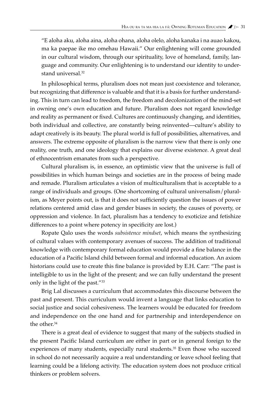"E aloha aku, aloha aina, aloha ohana, aloha olelo, aloha kanaka i na auao kakou, ma ka paepae ike mo omehau Hawaii." Our enlightening will come grounded in our cultural wisdom, through our spirituality, love of homeland, family, language and community. Our enlightening is to understand our identity to understand universal.<sup>32</sup>

In philosophical terms, pluralism does not mean just coexistence and tolerance, but recognizing that difference is valuable and that it is a basis for further understanding. This in turn can lead to freedom, the freedom and decolonization of the mind-set in owning one's own education and future. Pluralism does not regard knowledge and reality as permanent or fixed. Cultures are continuously changing, and identities, both individual and collective, are constantly being reinvented—culture's ability to adapt creatively is its beauty. The plural world is full of possibilities, alternatives, and answers. The extreme opposite of pluralism is the narrow view that there is only one reality, one truth, and one ideology that explains our diverse existence. A great deal of ethnocentrism emanates from such a perspective.

Cultural pluralism is, in essence, an optimistic view that the universe is full of possibilities in which human beings and societies are in the process of being made and remade. Pluralism articulates a vision of multiculturalism that is acceptable to a range of individuals and groups. (One shortcoming of cultural universalism/pluralism, as Meyer points out, is that it does not sufficiently question the issues of power relations centered amid class and gender biases in society, the causes of poverty, or oppression and violence. In fact, pluralism has a tendency to exoticize and fetishize differences to a point where potency in specificity are lost.)

Ropate Qalo uses the words *subsistence mindset*, which means the synthesizing of cultural values with contemporary avenues of success. The addition of traditional knowledge with contemporary formal education would provide a fine balance in the education of a Pacific Island child between formal and informal education. An axiom historians could use to create this fine balance is provided by E.H. Carr: "The past is intelligible to us in the light of the present; and we can fully understand the present only in the light of the past."<sup>33</sup>

Brig Lal discusses a curriculum that accommodates this discourse between the past and present. This curriculum would invent a language that links education to social justice and social cohesiveness. The learners would be educated for freedom and independence on the one hand and for partnership and interdependence on the other.<sup>34</sup>

There is a great deal of evidence to suggest that many of the subjects studied in the present Pacific Island curriculum are either in part or in general foreign to the experiences of many students, especially rural students.<sup>35</sup> Even those who succeed in school do not necessarily acquire a real understanding or leave school feeling that learning could be a lifelong activity. The education system does not produce critical thinkers or problem solvers.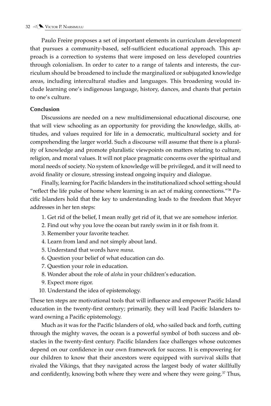Paulo Freire proposes a set of important elements in curriculum development that pursues a community-based, self-sufficient educational approach. This approach is a correction to systems that were imposed on less developed countries through colonialism. In order to cater to a range of talents and interests, the curriculum should be broadened to include the marginalized or subjugated knowledge areas, including intercultural studies and languages. This broadening would include learning one's indigenous language, history, dances, and chants that pertain to one's culture.

### **Conclusion**

Discussions are needed on a new multidimensional educational discourse, one that will view schooling as an opportunity for providing the knowledge, skills, attitudes, and values required for life in a democratic, multicultural society and for comprehending the larger world. Such a discourse will assume that there is a plurality of knowledge and promote pluralistic viewpoints on matters relating to culture, religion, and moral values. It will not place pragmatic concerns over the spiritual and moral needs of society. No system of knowledge will be privileged, and it will need to avoid finality or closure, stressing instead ongoing inquiry and dialogue.

Finally, learning for Pacific Islanders in the institutionalized school setting should "reflect the life pulse of home where learning is an act of making connections."36 Pacific Islanders hold that the key to understanding leads to the freedom that Meyer addresses in her ten steps:

- 1. Get rid of the belief, I mean really get rid of it, that we are somehow inferior.
- 2. Find out why you love the ocean but rarely swim in it or fish from it.
- 3. Remember your favorite teacher.
- 4. Learn from land and not simply about land.
- 5. Understand that words have *mana*.
- 6. Question your belief of what education can do.
- 7. Question your role in education.
- 8. Wonder about the role of *aloha* in your children's education.
- 9. Expect more rigor.
- 10. Understand the idea of epistemology.

These ten steps are motivational tools that will influence and empower Pacific Island education in the twenty-first century; primarily, they will lead Pacific Islanders toward owning a Pacific epistemology.

Much as it was for the Pacific Islanders of old, who sailed back and forth, cutting through the mighty waves, the ocean is a powerful symbol of both success and obstacles in the twenty-first century. Pacific Islanders face challenges whose outcomes depend on our confidence in our own framework for success. It is empowering for our children to know that their ancestors were equipped with survival skills that rivaled the Vikings, that they navigated across the largest body of water skillfully and confidently, knowing both where they were and where they were going. $37$  Thus,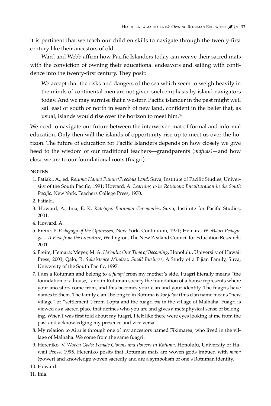it is pertinent that we teach our children skills to navigate through the twenty-first century like their ancestors of old.

Ward and Webb affirm how Pacific Islanders today can weave their sacred mats with the conviction of owning their educational endeavors and sailing with confidence into the twenty-first century. They posit:

We accept that the risks and dangers of the sea which seem to weigh heavily in the minds of continental men are not given such emphasis by island navigators today. And we may surmise that a western Pacific islander in the past might well sail east or south or north in search of new land, confident in the belief that, as usual, islands would rise over the horizon to meet him.<sup>38</sup>

We need to navigate our future between the interwoven mat of formal and informal education. Only then will the islands of opportunity rise up to meet us over the horizon. The future of education for Pacific Islanders depends on how closely we give heed to the wisdom of our traditional teachers—grandparents (*mafuas)—*and how close we are to our foundational roots (fuagri).

#### **NOTES**

- 1. Fatiaki, A., ed. *Rotuma Hanua Pumue/Precious Land*, Suva, Institute of Pacific Studies, University of the South Pacific, 1991; Howard, A. *Learning to be Rotuman: Enculturation in the South Pacific*, New York, Teachers College Press, 1970.
- 2. Fatiaki.
- 3. Howard, A.; Inia, E. K. *Kato'aga: Rotuman Ceremonies*, Suva, Institute for Pacific Studies, 2001.
- 4. Howard, A.
- 5. Freire, P. *Pedagogy of the Oppressed*, New York, Continuum, 1971; Hemara, W. *Maori Pedagogies: A View from the Literature*, Wellington, The New Zealand Council for Education Research, 2001.
- 6. Freire; Hemara; Meyer, M. A. *Ho'oulu: Our Time of Becoming*, Honolulu, University of Hawaii Press, 2003; Qalo, R. *Subsistence Mindset: Small Business*, A Study of a Fijian Family, Suva, University of the South Pacific, 1997.
- 7. I am a Rotuman and belong to a *fuagri* from my mother's side*.* Fuagri literally means "the foundation of a house," and in Rotuman society the foundation of a house represents where your ancestors come from, and this becomes your clan and your identity. The fuagris have names to them. The family clan I belong to in Rotuma is *kor fo'ou* (this clan name means "new village" or "settlement") from Lopta and the fuagri *vai* in the village of Malhaha. Fuagri is viewed as a sacred place that defines who you are and gives a metaphysical sense of belonging. When I was first told about my fuagri, I felt like there were eyes looking at me from the **.**past and acknowledging my presence and vice versa.
- 8. My relation to Aitu is through one of my ancestors named Fikimarea, who lived in the village of Malhaha. We come from the same fuagri.
- 9. Hereniko, V. *Woven Gods: Female Clowns and Powers in Rotuma*, Honolulu, University of Hawaii Press, 1995. Hereniko posits that Rotuman mats are woven gods imbued with *mana* (power) and knowledge woven sacredly and are a symbolism of one's Rotuman identity.
- 10. Howard.
- 11. Inia.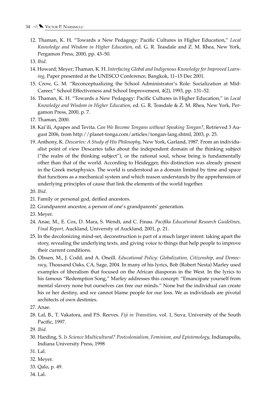- 12. Thaman, K. H. "Towards a New Pedagogy: Pacific Cultures in Higher Education," *Local Knowledge and Wisdom in Higher Education*, ed. G. R. Teasdale and Z. M. Rhea, New York, Pergamon Press, 2000, pp. 43–50.
- 13. *Ibid*.
- 14. Howard; Meyer; Thaman, K. H. *Interfacing Global and Indigenous Knowledge for Improved Learning*, Paper presented at the UNESCO Conference, Bangkok, 11–15 Dec 2001.
- 15. Crow, G. M. "Reconceptualizing the School Administrator's Role: Socialization at Mid-Career," School Effectiveness and School Improvement, 4(2), 1993, pp. 131–52.
- 16. Thaman, K. H. "Towards a New Pedagogy: Pacific Cultures in Higher Education," in *Local Knowledge and Wisdom in Higher Education*, ed. G. R. Teasdale & Z. M. Rhea, New York, Pergamon Press, 2000, p. 7.
- 17. Thaman, 2000.
- 18. Kai'ili, Apapes and Tevita. *Can We Become Tongans without Speaking Tongan?,* Retrieved 3 August 2006, from http://planet-tonga.com/articles/tongan-lang.shtml, 2003, p. 25.
- 19. Anthony, K. *Descartes: A Study of His Philosophy*, New York, Garland, 1987. From an individualist point of view Descartes talks about the independent domain of the thinking subject ("the realm of the thinking subject"), or the rational soul, whose being is fundamentally other than that of the world. According to Heidegger, this distinction was already present in the Greek metaphysics. The world is understood as a domain limited by time and space that functions as a mechanical system and which reason understands by the apprehension of underlying principles of cause that link the elements of the world together.
- 20. *Ibid*.
- 21. Family or personal god, deified ancestors.
- 22. Grandparent ancestor, a person of one's grandparents' generation.
- 23. Meyer.
- 24. Anae, M., E. Cox, D. Mara, S. Wendt, and C. Finau. *Pacifika Educational Research Guidelines, Final Report*, Auckland, University of Auckland, 2001, p. 21.
- 25. In the decolonizing mind-set, deconstruction is part of a much larger intent: taking apart the story, revealing the underlying texts, and giving voice to things that help people to improve their current conditions.
- 26. Olssen, M., J. Codd, and A. Oneill. *Educational Policy: Globalization, Citizenship, and Democracy*, Thousand Oaks, CA, Sage, 2004. In many of his lyrics, Bob (Robert Nesta) Marley used examples of liberalism that focused on the African diasporas in the West. In the lyrics to his famous "Redemption Song," Marley addresses this concept: "Emancipate yourself from mental slavery none but ourselves can free our minds." None but the individual can create his or her destiny, and we cannot blame people for our loss. We as individuals are pivotal architects of own destinies.
- 27. Anae.
- 28. Lal, B., T. Vakatora, and P.S. Reeves. *Fiji in Transition*, vol. 1, Suva, University of the South Pacific, 1997.
- 29. *Ibid*.
- 30. Harding, S. *Is Science Multicultural? Postcolonialism, Feminism, and Epistemology*, Indianapolis, Indiana University Press, 1998
- 31. Lal.
- 32. Meyer.
- 33. Qalo, p. 49.
- 34. Lal.